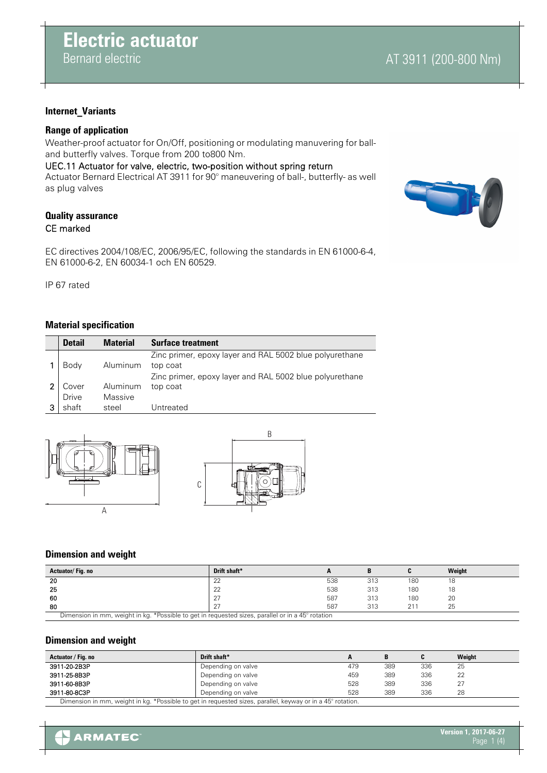# AT 3911 (200-800 Nm)

# **Internet\_Variants**

# **Range of application**

Weather-proof actuator for On/Off, positioning or modulating manuvering for balland butterfly valves. Torque from 200 to800 Nm.

UEC.11 Actuator for valve, electric, two-position without spring return Actuator Bernard Electrical AT 3911 for 90° maneuvering of ball-, butterfly- as well as plug valves

# **Quality assurance** CE marked

EC directives 2004/108/EC, 2006/95/EC, following the standards in EN 61000-6-4, EN 61000-6-2, EN 60034-1 och EN 60529.

IP 67 rated

# **Material specification**

| <b>Detail</b> | <b>Material</b> | <b>Surface treatment</b>                                            |
|---------------|-----------------|---------------------------------------------------------------------|
| Body          | Aluminum        | Zinc primer, epoxy layer and RAL 5002 blue polyurethane<br>top coat |
|               |                 | Zinc primer, epoxy layer and RAL 5002 blue polyurethane             |
| Cover         | Aluminum        | top coat                                                            |
| <b>Drive</b>  | Massive         |                                                                     |
| shaft         | steel           | Untreated                                                           |





#### **Dimension and weight**

| Actuator/Fig.no                                                                                   | Drift shaft* |     |     |     | Weight |  |  |
|---------------------------------------------------------------------------------------------------|--------------|-----|-----|-----|--------|--|--|
| 20                                                                                                | $\cap$<br>ᅩ  | 538 | 313 | 180 | 18     |  |  |
| 25                                                                                                | nn<br>22     | 538 | 313 | 180 | 10     |  |  |
| 60                                                                                                |              | 587 | 313 | 180 | 20     |  |  |
| 80                                                                                                |              | 587 | 313 | 211 | 25     |  |  |
| Dimension in mm, weight in kg. *Possible to get in requested sizes, parallel or in a 45° rotation |              |     |     |     |        |  |  |

Dimension in mm, weight in kg. \*Possible to get in requested sizes, parallel or in a 45° rotation

#### **Dimension and weight**

| Actuator / Fig. no                                                                                         | Drift shaft*       |     | B   | C   | Weight |  |
|------------------------------------------------------------------------------------------------------------|--------------------|-----|-----|-----|--------|--|
| 3911-20-2B3P                                                                                               | Depending on valve | 479 | 389 | 336 | 25     |  |
| 3911-25-8B3P                                                                                               | Depending on valve | 459 | 389 | 336 | 22     |  |
| 3911-60-8B3P                                                                                               | Depending on valve | 528 | 389 | 336 | 27     |  |
| 3911-80-8C3P                                                                                               | Depending on valve | 528 | 389 | 336 | 28     |  |
| Dimension in mm, weight in kg. *Possible to get in requested sizes, parallel, keyway or in a 45° rotation. |                    |     |     |     |        |  |

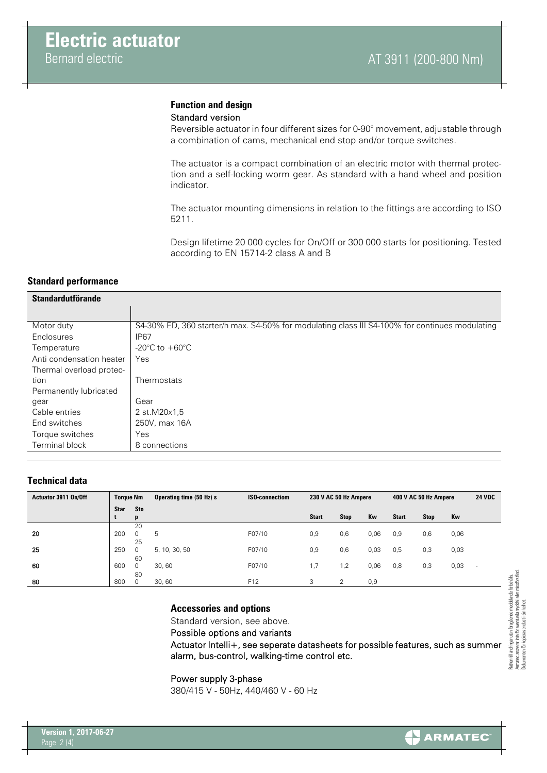#### **Function and design** Standard version

Reversible actuator in four different sizes for 0-90° movement, adjustable through a combination of cams, mechanical end stop and/or torque switches.

The actuator is a compact combination of an electric motor with thermal protection and a self-locking worm gear. As standard with a hand wheel and position indicator.

The actuator mounting dimensions in relation to the fittings are according to ISO 5211.

Design lifetime 20 000 cycles for On/Off or 300 000 starts for positioning. Tested according to EN 15714-2 class A and B

# **Standard performance**

| <b>Standardutförande</b> |                                                                                                |  |  |  |  |  |
|--------------------------|------------------------------------------------------------------------------------------------|--|--|--|--|--|
|                          |                                                                                                |  |  |  |  |  |
| Motor duty               | S4-30% ED, 360 starter/h max. S4-50% for modulating class III S4-100% for continues modulating |  |  |  |  |  |
| Enclosures               | <b>IP67</b>                                                                                    |  |  |  |  |  |
| Temperature              | -20 $\degree$ C to +60 $\degree$ C                                                             |  |  |  |  |  |
| Anti condensation heater | Yes                                                                                            |  |  |  |  |  |
| Thermal overload protec- |                                                                                                |  |  |  |  |  |
| tion                     | Thermostats                                                                                    |  |  |  |  |  |
| Permanently lubricated   |                                                                                                |  |  |  |  |  |
| gear                     | Gear                                                                                           |  |  |  |  |  |
| Cable entries            | 2 st.M20x1,5                                                                                   |  |  |  |  |  |
| End switches             | 250V, max 16A                                                                                  |  |  |  |  |  |
| Torque switches          | Yes                                                                                            |  |  |  |  |  |
| Terminal block           | 8 connections                                                                                  |  |  |  |  |  |

# **Technical data**

| Actuator 3911 On/Off | <b>Torque Nm</b> |                 | Operating time (50 Hz) s | <b>ISO-connectiom</b> | 230 V AC 50 Hz Ampere |             |      | 400 V AC 50 Hz Ampere |      |      |                          |
|----------------------|------------------|-----------------|--------------------------|-----------------------|-----------------------|-------------|------|-----------------------|------|------|--------------------------|
|                      | <b>Star</b>      | <b>Sto</b><br>D |                          |                       | <b>Start</b>          | <b>Stop</b> | Kw   | <b>Start</b>          | Stop | Kw   |                          |
| 20                   | 200              | 20<br>0         | 5                        | F07/10                | 0,9                   | 0,6         | 0,06 | 0,9                   | 0,6  | 0,06 |                          |
| 25                   | 250              | 25<br>$\Omega$  | 5, 10, 30, 50            | F07/10                | 0,9                   | 0,6         | 0,03 | 0,5                   | 0,3  | 0,03 |                          |
| 60                   | 600              | 60<br>$\Omega$  | 30,60                    | F07/10                | 1,7                   | 2, ا        | 0,06 | 0,8                   | 0,3  | 0,03 | $\overline{\phantom{a}}$ |
| 80                   | 800              | 80<br>0         | 30,60                    | F <sub>12</sub>       | 3                     | $\sim$      | 0,9  |                       |      |      |                          |

#### **Accessories and options**

Standard version, see above.

Possible options and variants

Actuator Intelli+, see seperate datasheets for possible features, such as summer alarm, bus-control, walking-time control etc.

Power supply 3-phase

380/415 V - 50Hz, 440/460 V - 60 Hz

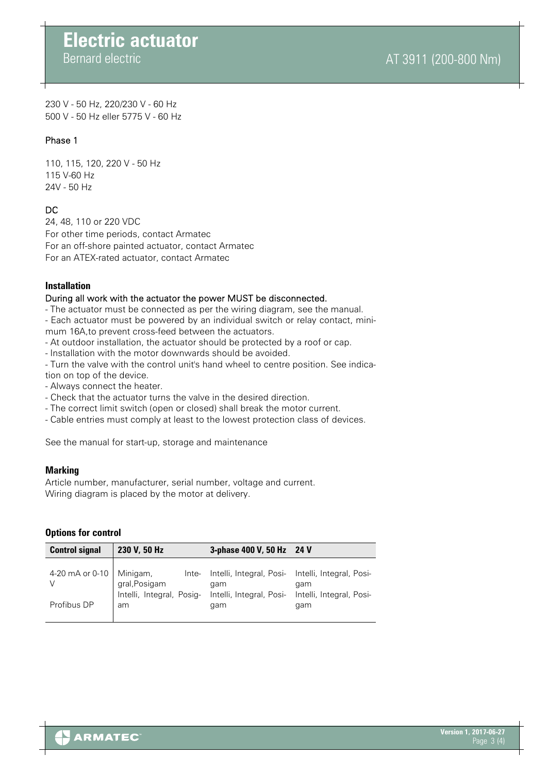# **Electric actuator** Bernard electric

230 V - 50 Hz, 220/230 V - 60 Hz 500 V - 50 Hz eller 5775 V - 60 Hz

# Phase 1

110, 115, 120, 220 V - 50 Hz 115 V-60 Hz 24V - 50 Hz

# DC

24, 48, 110 or 220 VDC For other time periods, contact Armatec For an off-shore painted actuator, contact Armatec For an ATEX-rated actuator, contact Armatec

# **Installation**

# During all work with the actuator the power MUST be disconnected.

- The actuator must be connected as per the wiring diagram, see the manual.

- Each actuator must be powered by an individual switch or relay contact, minimum 16A,to prevent cross-feed between the actuators.
- At outdoor installation, the actuator should be protected by a roof or cap.
- Installation with the motor downwards should be avoided.

- Turn the valve with the control unit's hand wheel to centre position. See indication on top of the device.

- Always connect the heater.
- Check that the actuator turns the valve in the desired direction.
- The correct limit switch (open or closed) shall break the motor current.
- Cable entries must comply at least to the lowest protection class of devices.

See the manual for start-up, storage and maintenance

# **Marking**

Article number, manufacturer, serial number, voltage and current. Wiring diagram is placed by the motor at delivery.

# **Options for control**

| <b>Control signal</b> | 230 V, 50 Hz                                                                                                                                                                   | 3-phase 400 V, 50 Hz 24 V |     |
|-----------------------|--------------------------------------------------------------------------------------------------------------------------------------------------------------------------------|---------------------------|-----|
| Profibus DP           | 4-20 mA or 0-10 Minigam, Inte- Intelli, Integral, Posi- Intelli, Integral, Posi-<br>V gral, Posigam gam gam gam gam suntelli, Integral, Posi- Intelli, Integral, Posi-<br>l am | qam                       | qam |